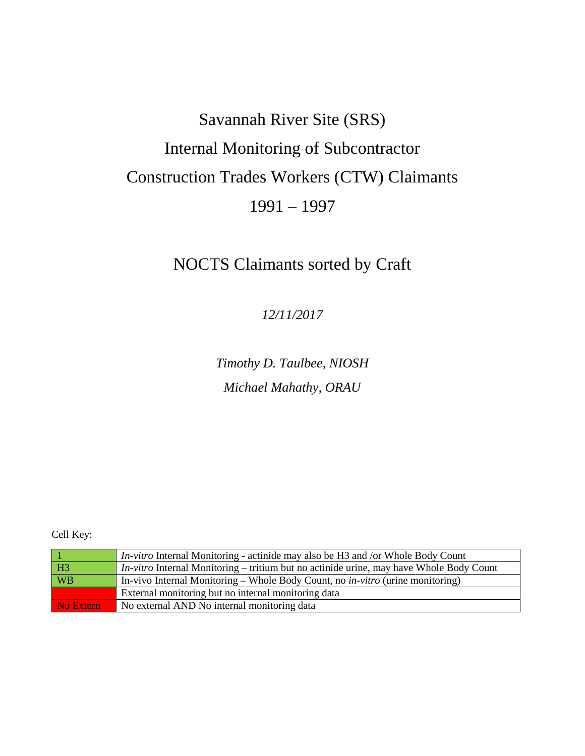## Savannah River Site (SRS) Internal Monitoring of Subcontractor Construction Trades Workers (CTW) Claimants 1991 – 1997

## NOCTS Claimants sorted by Craft

*12/11/2017*

*Timothy D. Taulbee, NIOSH Michael Mahathy, ORAU*

Cell Key:

|           | <i>In-vitro</i> Internal Monitoring - actinide may also be H3 and /or Whole Body Count         |
|-----------|------------------------------------------------------------------------------------------------|
| H3        | <i>In-vitro</i> Internal Monitoring – tritium but no actinide urine, may have Whole Body Count |
| <b>WB</b> | In-vivo Internal Monitoring – Whole Body Count, no <i>in-vitro</i> (urine monitoring)          |
|           | External monitoring but no internal monitoring data                                            |
| No Extern | No external AND No internal monitoring data                                                    |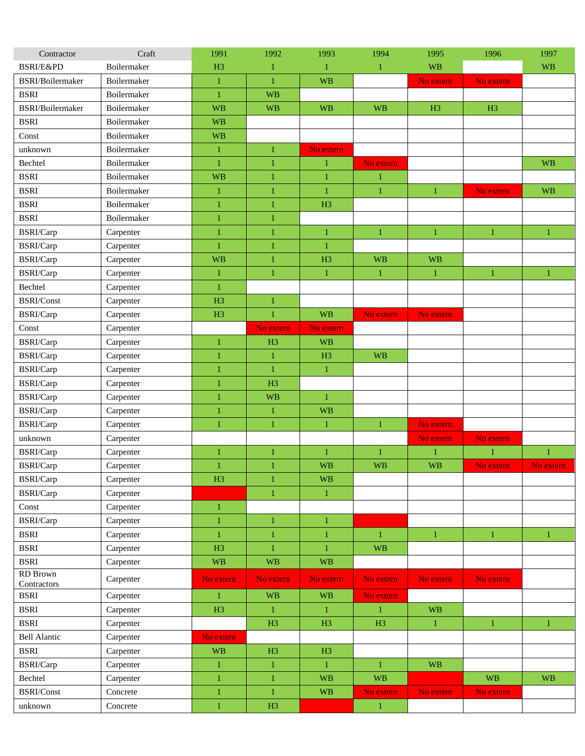| Contractor                 | Craft       | 1991           | 1992           | 1993           | 1994         | 1995           | 1996           | 1997         |
|----------------------------|-------------|----------------|----------------|----------------|--------------|----------------|----------------|--------------|
| <b>BSRI/E&amp;PD</b>       | Boilermaker | H <sub>3</sub> | 1              | 1              | 1            | <b>WB</b>      |                | <b>WB</b>    |
| BSRI/Boilermaker           | Boilermaker | $\mathbf{1}$   | $\mathbf{1}$   | <b>WB</b>      |              | No extern      | No extern      |              |
| <b>BSRI</b>                | Boilermaker | $\mathbf{1}$   | <b>WB</b>      |                |              |                |                |              |
| <b>BSRI/Boilermaker</b>    | Boilermaker | <b>WB</b>      | <b>WB</b>      | <b>WB</b>      | <b>WB</b>    | H <sub>3</sub> | H <sub>3</sub> |              |
| <b>BSRI</b>                | Boilermaker | <b>WB</b>      |                |                |              |                |                |              |
| Const                      | Boilermaker | <b>WB</b>      |                |                |              |                |                |              |
| unknown                    | Boilermaker | $\mathbf{1}$   | $\mathbf{1}$   | No extern      |              |                |                |              |
| Bechtel                    | Boilermaker | $\,1\,$        | $\mathbf{1}$   | $\mathbf{1}$   | No extern    |                |                | <b>WB</b>    |
| <b>BSRI</b>                | Boilermaker | <b>WB</b>      | $\mathbf{1}$   | $\mathbf{1}$   | $\mathbf{1}$ |                |                |              |
| <b>BSRI</b>                | Boilermaker | $\mathbf{1}$   | $\mathbf{1}$   | $\mathbf{1}$   | 1            | $\mathbf{1}$   | No extern      | <b>WB</b>    |
| <b>BSRI</b>                | Boilermaker | $\mathbf{1}$   | $\mathbf{1}$   | H <sub>3</sub> |              |                |                |              |
| <b>BSRI</b>                | Boilermaker | $\bf{1}$       | $\mathbf{1}$   |                |              |                |                |              |
| BSRI/Carp                  | Carpenter   | $\mathbf{1}$   | $\mathbf{1}$   | $\mathbf{1}$   | $\mathbf{1}$ | $\mathbf{1}$   | $\mathbf{1}$   | $\mathbf{1}$ |
| BSRI/Carp                  | Carpenter   | $\mathbf{1}$   | $\mathbf{1}$   | $\mathbf{1}$   |              |                |                |              |
| BSRI/Carp                  | Carpenter   | <b>WB</b>      | $\mathbf{1}$   | H <sub>3</sub> | <b>WB</b>    | <b>WB</b>      |                |              |
| BSRI/Carp                  | Carpenter   | $\mathbf{1}$   | $\mathbf{1}$   | $\mathbf{1}$   | $\mathbf{1}$ | $\mathbf{1}$   | $\mathbf{1}$   | $\mathbf{1}$ |
| Bechtel                    | Carpenter   | $\mathbf{1}$   |                |                |              |                |                |              |
| BSRI/Const                 | Carpenter   | H <sub>3</sub> | 1              |                |              |                |                |              |
| BSRI/Carp                  | Carpenter   | H <sub>3</sub> | $\mathbf{1}$   | <b>WB</b>      | No extern    | No extern      |                |              |
| Const                      | Carpenter   |                | No extern      | No extern      |              |                |                |              |
| BSRI/Carp                  | Carpenter   | $\mathbf{1}$   | H <sub>3</sub> | <b>WB</b>      |              |                |                |              |
| BSRI/Carp                  | Carpenter   | $\bf{1}$       | $\mathbf{1}$   | H <sub>3</sub> | <b>WB</b>    |                |                |              |
| BSRI/Carp                  | Carpenter   | $\mathbf{1}$   | $\mathbf{1}$   | $\mathbf{1}$   |              |                |                |              |
| BSRI/Carp                  | Carpenter   | $\mathbf{1}$   | H <sub>3</sub> |                |              |                |                |              |
| BSRI/Carp                  | Carpenter   | $\mathbf{1}$   | <b>WB</b>      | $\mathbf{1}$   |              |                |                |              |
| BSRI/Carp                  | Carpenter   | $\bf{1}$       | $\mathbf{1}$   | <b>WB</b>      |              |                |                |              |
| BSRI/Carp                  | Carpenter   | 1              | $\mathbf{1}$   | $\mathbf{1}$   | $\mathbf{1}$ | No extern      |                |              |
| unknown                    | Carpenter   |                |                |                |              | No extern      | No extern      |              |
| BSRI/Carp                  | Carpenter   | 1              | $\mathbf{1}$   | 1              | $\mathbf{1}$ | $\mathbf{1}$   | $\mathbf{1}$   | $\mathbf{1}$ |
| BSRI/Carp                  | Carpenter   | $\mathbf{1}$   | $\mathbf{1}$   | <b>WB</b>      | <b>WB</b>    | <b>WB</b>      | No extern      | No extern    |
| BSRI/Carp                  | Carpenter   | H3             | 1              | <b>WB</b>      |              |                |                |              |
| BSRI/Carp                  | Carpenter   |                | $\mathbf{1}$   | $\mathbf{1}$   |              |                |                |              |
| Const                      | Carpenter   | $\mathbf{1}$   |                |                |              |                |                |              |
| BSRI/Carp                  | Carpenter   | $\mathbf{1}$   | $\mathbf{1}$   | $\mathbf{1}$   |              |                |                |              |
| <b>BSRI</b>                | Carpenter   | $\mathbf{1}$   | $\,1\,$        | $\mathbf{1}$   | $\mathbf{1}$ | $\mathbf{1}$   | $\mathbf{1}$   | $\mathbf{1}$ |
| <b>BSRI</b>                | Carpenter   | H <sub>3</sub> | $\mathbf{1}$   | $\mathbf{1}$   | <b>WB</b>    |                |                |              |
| <b>BSRI</b>                | Carpenter   | <b>WB</b>      | <b>WB</b>      | <b>WB</b>      |              |                |                |              |
| <b>RD</b> Brown            | Carpenter   | No extern      | No extern      | No extern      | No extern    | No extern      | No extern      |              |
| Contractors<br><b>BSRI</b> | Carpenter   | $\mathbf{1}$   | <b>WB</b>      | <b>WB</b>      | No extern    |                |                |              |
| <b>BSRI</b>                | Carpenter   | H3             | $\mathbf{1}$   | $\mathbf{1}$   | $\mathbf{1}$ | <b>WB</b>      |                |              |
| <b>BSRI</b>                | Carpenter   |                | H <sub>3</sub> | H3             | H3           | $\mathbf{1}$   | $\mathbf{1}$   | $\mathbf{1}$ |
| <b>Bell Alantic</b>        | Carpenter   | No extern      |                |                |              |                |                |              |
| <b>BSRI</b>                | Carpenter   | <b>WB</b>      | H3             | H3             |              |                |                |              |
| BSRI/Carp                  | Carpenter   | $\mathbf{1}$   | $\mathbf{1}$   | $\mathbf{1}$   | $\mathbf{1}$ | <b>WB</b>      |                |              |
| Bechtel                    | Carpenter   | $\mathbf{1}$   | $\mathbf{1}$   | <b>WB</b>      | <b>WB</b>    |                | <b>WB</b>      | <b>WB</b>    |
| <b>BSRI/Const</b>          | Concrete    | $\mathbf{1}$   | $\mathbf{1}$   | <b>WB</b>      | No extern    | No extern      | No extern      |              |
|                            | Concrete    |                | H3             |                |              |                |                |              |
| unknown                    |             | $\mathbf{1}$   |                |                | $\mathbf{1}$ |                |                |              |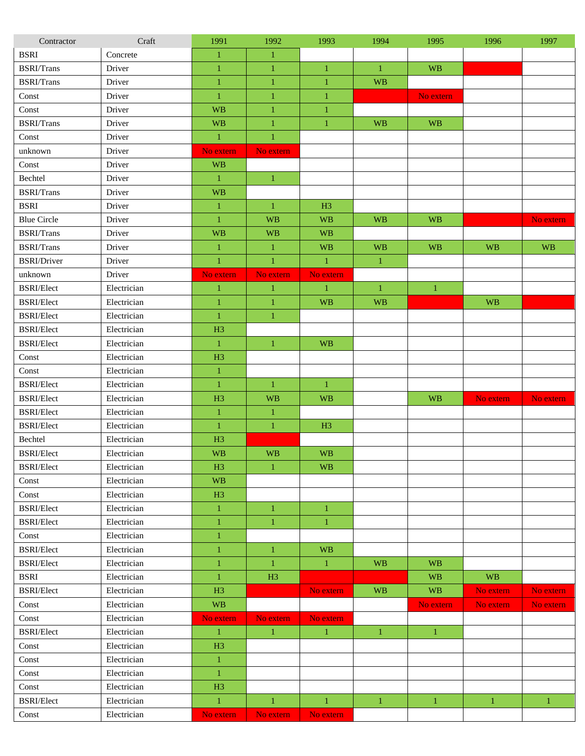| Contractor         | Craft       | 1991           | 1992         | 1993           | 1994         | 1995             | 1996         | 1997         |
|--------------------|-------------|----------------|--------------|----------------|--------------|------------------|--------------|--------------|
| <b>BSRI</b>        | Concrete    | $\mathbf{1}$   | $\mathbf{1}$ |                |              |                  |              |              |
| <b>BSRI/Trans</b>  | Driver      | $\mathbf{1}$   | $\mathbf{1}$ | $\mathbf{1}$   | $\mathbf{1}$ | <b>WB</b>        |              |              |
| <b>BSRI/Trans</b>  | Driver      | $\mathbf{1}$   | $\mathbf{1}$ | $\mathbf{1}$   | <b>WB</b>    |                  |              |              |
| Const              | Driver      | 1              | $\mathbf{1}$ | $\mathbf{1}$   |              | No extern        |              |              |
| Const              | Driver      | <b>WB</b>      | $\mathbf{1}$ | $\mathbf{1}$   |              |                  |              |              |
| <b>BSRI/Trans</b>  | Driver      | <b>WB</b>      | $\mathbf{1}$ | $\mathbf{1}$   | <b>WB</b>    | <b>WB</b>        |              |              |
| Const              | Driver      | $\mathbf{1}$   | $\mathbf{1}$ |                |              |                  |              |              |
| unknown            | Driver      | No extern      | No extern    |                |              |                  |              |              |
| Const              | Driver      | <b>WB</b>      |              |                |              |                  |              |              |
| Bechtel            | Driver      | $\mathbf{1}$   | $\mathbf{1}$ |                |              |                  |              |              |
| <b>BSRI/Trans</b>  | Driver      | <b>WB</b>      |              |                |              |                  |              |              |
| <b>BSRI</b>        | Driver      | $\,1\,$        | $\mathbf{1}$ | H <sub>3</sub> |              |                  |              |              |
| <b>Blue Circle</b> | Driver      | $\mathbf{1}$   | <b>WB</b>    | <b>WB</b>      | <b>WB</b>    | <b>WB</b>        |              | No extern    |
| <b>BSRI/Trans</b>  | Driver      | <b>WB</b>      | <b>WB</b>    | <b>WB</b>      |              |                  |              |              |
| <b>BSRI/Trans</b>  | Driver      | $\mathbf{1}$   | $\mathbf{1}$ | <b>WB</b>      | <b>WB</b>    | <b>WB</b>        | <b>WB</b>    | <b>WB</b>    |
| <b>BSRI/Driver</b> | Driver      | $\mathbf{1}$   | $\mathbf{1}$ | $\mathbf{1}$   | $\mathbf{1}$ |                  |              |              |
| unknown            | Driver      | No extern      | No extern    | No extern      |              |                  |              |              |
| <b>BSRI/Elect</b>  | Electrician | $\mathbf{1}$   | $\mathbf{1}$ | $\mathbf{1}$   | $\mathbf{1}$ | $\mathbf{1}$     |              |              |
| <b>BSRI/Elect</b>  | Electrician | 1              | $\mathbf{1}$ | <b>WB</b>      | <b>WB</b>    |                  | <b>WB</b>    |              |
| <b>BSRI/Elect</b>  | Electrician | $\mathbf{1}$   | $\mathbf{1}$ |                |              |                  |              |              |
| <b>BSRI/Elect</b>  | Electrician | H <sub>3</sub> |              |                |              |                  |              |              |
| <b>BSRI/Elect</b>  | Electrician | $\mathbf{1}$   | $\mathbf{1}$ | <b>WB</b>      |              |                  |              |              |
| Const              | Electrician | H <sub>3</sub> |              |                |              |                  |              |              |
| Const              | Electrician | $\mathbf{1}$   |              |                |              |                  |              |              |
| <b>BSRI/Elect</b>  | Electrician | $\mathbf{1}$   | $\mathbf{1}$ | 1              |              |                  |              |              |
| <b>BSRI/Elect</b>  | Electrician | H <sub>3</sub> | <b>WB</b>    | <b>WB</b>      |              | <b>WB</b>        | No extern    | No extern    |
| <b>BSRI/Elect</b>  | Electrician | $\mathbf{1}$   | $\mathbf{1}$ |                |              |                  |              |              |
| <b>BSRI/Elect</b>  | Electrician | $\mathbf{1}$   | $\mathbf{1}$ | H <sub>3</sub> |              |                  |              |              |
| Bechtel            | Electrician | H <sub>3</sub> |              |                |              |                  |              |              |
| <b>BSRI/Elect</b>  | Electrician | <b>WB</b>      | <b>WB</b>    | <b>WB</b>      |              |                  |              |              |
| <b>BSRI/Elect</b>  | Electrician | H3             | 1            | <b>WB</b>      |              |                  |              |              |
| Const              | Electrician | <b>WB</b>      |              |                |              |                  |              |              |
| Const              | Electrician | H3             |              |                |              |                  |              |              |
| <b>BSRI/Elect</b>  | Electrician | $\mathbf{1}$   | $\mathbf{1}$ | $\mathbf{1}$   |              |                  |              |              |
| <b>BSRI/Elect</b>  | Electrician | $\mathbf{1}$   | $\mathbf{1}$ | $\mathbf{1}$   |              |                  |              |              |
| Const              | Electrician | $\mathbf{1}$   |              |                |              |                  |              |              |
| <b>BSRI/Elect</b>  | Electrician | 1              | $\mathbf{1}$ | <b>WB</b>      |              |                  |              |              |
| <b>BSRI/Elect</b>  | Electrician | $\mathbf{1}$   | $\mathbf{1}$ | $\mathbf{1}$   | <b>WB</b>    | <b>WB</b>        |              |              |
| <b>BSRI</b>        | Electrician | $\mathbf{1}$   | H3           |                |              | <b>WB</b>        | <b>WB</b>    |              |
| <b>BSRI/Elect</b>  | Electrician | H3             |              | No extern      | <b>WB</b>    | <b>WB</b>        | No extern    | No extern    |
| Const              | Electrician | <b>WB</b>      |              |                |              | No extern        | No extern    | No extern    |
| Const              | Electrician | No extern      | No extern    | No extern      |              |                  |              |              |
| <b>BSRI/Elect</b>  | Electrician | $\mathbf{1}$   | $\mathbf{1}$ | $\mathbf{1}$   | $\mathbf{1}$ | $\boldsymbol{1}$ |              |              |
| Const              | Electrician | H3             |              |                |              |                  |              |              |
| Const              | Electrician | $\mathbf{1}$   |              |                |              |                  |              |              |
| Const              | Electrician | $\mathbf{1}$   |              |                |              |                  |              |              |
| Const              | Electrician | H <sub>3</sub> |              |                |              |                  |              |              |
| <b>BSRI/Elect</b>  | Electrician | $\mathbf{1}$   | $\mathbf{1}$ | $\mathbf{1}$   | $\mathbf{1}$ | $\mathbf{1}$     | $\mathbf{1}$ | $\mathbf{1}$ |
| Const              | Electrician | No extern      | No extern    | No extern      |              |                  |              |              |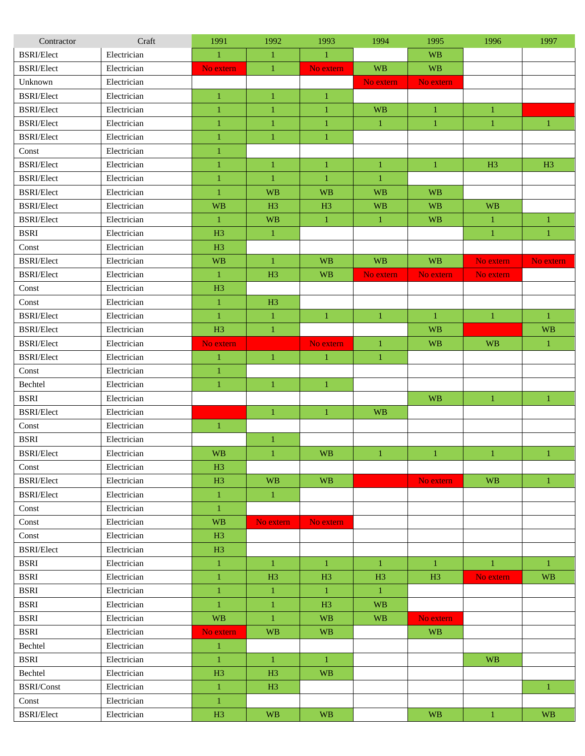| Contractor                | Craft       | 1991           | 1992           | 1993           | 1994           | 1995           | 1996           | 1997           |
|---------------------------|-------------|----------------|----------------|----------------|----------------|----------------|----------------|----------------|
| <b>BSRI/Elect</b>         | Electrician | $\mathbf{1}$   | $\mathbf{1}$   | $\mathbf{1}$   |                | <b>WB</b>      |                |                |
| <b>BSRI/Elect</b>         | Electrician | No extern      | $\mathbf{1}$   | No extern      | <b>WB</b>      | <b>WB</b>      |                |                |
| Unknown                   | Electrician |                |                |                | No extern      | No extern      |                |                |
| <b>BSRI/Elect</b>         | Electrician | $\mathbf{1}$   | $\mathbf{1}$   | $\mathbf{1}$   |                |                |                |                |
| <b>BSRI/Elect</b>         | Electrician | $\mathbf{1}$   | $\mathbf{1}$   | 1              | <b>WB</b>      | $\mathbf{1}$   | 1              |                |
| <b>BSRI/Elect</b>         | Electrician | $\bf{1}$       | $\mathbf{1}$   | $\mathbf{1}$   | $\mathbf{1}$   | $\mathbf{1}$   | $\mathbf{1}$   | $\mathbf{1}$   |
| <b>BSRI/Elect</b>         | Electrician | $\,1$          | $\mathbf{1}$   | $\mathbf{1}$   |                |                |                |                |
| Const                     | Electrician | $\mathbf{1}$   |                |                |                |                |                |                |
| <b>BSRI/Elect</b>         | Electrician | $\mathbf{1}$   | $\mathbf{1}$   | $\mathbf{1}$   | $\mathbf{1}$   | $\mathbf{1}$   | H <sub>3</sub> | H <sub>3</sub> |
| <b>BSRI/Elect</b>         | Electrician | $\mathbf{1}$   | $\mathbf{1}$   | $\mathbf{1}$   | $\mathbf{1}$   |                |                |                |
| <b>BSRI/Elect</b>         | Electrician | $\mathbf{1}$   | <b>WB</b>      | <b>WB</b>      | <b>WB</b>      | <b>WB</b>      |                |                |
| <b>BSRI/Elect</b>         | Electrician | <b>WB</b>      | H <sub>3</sub> | H <sub>3</sub> | <b>WB</b>      | <b>WB</b>      | <b>WB</b>      |                |
| <b>BSRI/Elect</b>         | Electrician | $\mathbf{1}$   | <b>WB</b>      | $\mathbf{1}$   | $\mathbf{1}$   | <b>WB</b>      | 1              | $\mathbf{1}$   |
| <b>BSRI</b>               | Electrician | H <sub>3</sub> | $\mathbf{1}$   |                |                |                | $\mathbf{1}$   | $\mathbf{1}$   |
| Const                     | Electrician | H3             |                |                |                |                |                |                |
| <b>BSRI/Elect</b>         | Electrician | <b>WB</b>      | $\mathbf{1}$   | <b>WB</b>      | <b>WB</b>      | <b>WB</b>      | No extern      | No extern      |
| <b>BSRI/Elect</b>         | Electrician | $\mathbf{1}$   | H <sub>3</sub> | <b>WB</b>      | No extern      | No extern      | No extern      |                |
| $\mathop{\mathsf{Const}}$ | Electrician | H3             |                |                |                |                |                |                |
| Const                     | Electrician | $\mathbf{1}$   | H <sub>3</sub> |                |                |                |                |                |
| <b>BSRI/Elect</b>         | Electrician | $\mathbf{1}$   | $\mathbf{1}$   | $\mathbf{1}$   | $\mathbf{1}$   | $\mathbf{1}$   | $\mathbf{1}$   | $\mathbf{1}$   |
| <b>BSRI/Elect</b>         | Electrician | H <sub>3</sub> | $\mathbf{1}$   |                |                | <b>WB</b>      |                | <b>WB</b>      |
| <b>BSRI/Elect</b>         | Electrician | No extern      |                | No extern      | $\mathbf{1}$   | <b>WB</b>      | <b>WB</b>      | $\mathbf{1}$   |
| <b>BSRI/Elect</b>         | Electrician | $\mathbf{1}$   | $\mathbf{1}$   | 1              | $\mathbf{1}$   |                |                |                |
| Const                     | Electrician | $\mathbf{1}$   |                |                |                |                |                |                |
| Bechtel                   | Electrician | $\mathbf{1}$   | $\mathbf{1}$   | $\mathbf{1}$   |                |                |                |                |
| <b>BSRI</b>               | Electrician |                |                |                |                | <b>WB</b>      | $\mathbf{1}$   | $\mathbf{1}$   |
| <b>BSRI/Elect</b>         | Electrician |                | $\mathbf{1}$   | $\mathbf{1}$   | <b>WB</b>      |                |                |                |
| $\mathop{\mathsf{Const}}$ | Electrician | $\mathbf{1}$   |                |                |                |                |                |                |
| <b>BSRI</b>               | Electrician |                | $\mathbf{1}$   |                |                |                |                |                |
| <b>BSRI/Elect</b>         | Electrician | <b>WB</b>      | $\mathbf{1}$   | <b>WB</b>      | $\mathbf{1}$   | $\mathbf{1}$   | 1              | $\mathbf{1}$   |
| Const                     | Electrician | H3             |                |                |                |                |                |                |
| <b>BSRI/Elect</b>         | Electrician | H3             | <b>WB</b>      | <b>WB</b>      |                | No extern      | <b>WB</b>      | $\mathbf{1}$   |
| <b>BSRI/Elect</b>         | Electrician | $\mathbf{1}$   | $\mathbf{1}$   |                |                |                |                |                |
| Const                     | Electrician | $\mathbf{1}$   |                |                |                |                |                |                |
| Const                     | Electrician | <b>WB</b>      | No extern      | No extern      |                |                |                |                |
| Const                     | Electrician | H3             |                |                |                |                |                |                |
| <b>BSRI/Elect</b>         | Electrician | H3             |                |                |                |                |                |                |
| <b>BSRI</b>               | Electrician | $\mathbf{1}$   | 1              | 1              | 1              | $\mathbf{1}$   | 1              | $\mathbf{1}$   |
| <b>BSRI</b>               | Electrician | $\mathbf{1}$   | H <sub>3</sub> | H <sub>3</sub> | H <sub>3</sub> | H <sub>3</sub> | No extern      | <b>WB</b>      |
| <b>BSRI</b>               | Electrician | $\mathbf{1}$   | $\mathbf{1}$   | $\mathbf{1}$   | $\mathbf{1}$   |                |                |                |
| <b>BSRI</b>               | Electrician | $\mathbf{1}$   | $\mathbf{1}$   | H <sub>3</sub> | <b>WB</b>      |                |                |                |
| <b>BSRI</b>               | Electrician | <b>WB</b>      | $\mathbf{1}$   | <b>WB</b>      | <b>WB</b>      | No extern      |                |                |
| <b>BSRI</b>               | Electrician | No extern      | <b>WB</b>      | <b>WB</b>      |                | <b>WB</b>      |                |                |
| Bechtel                   | Electrician | $\mathbf{1}$   |                |                |                |                |                |                |
| <b>BSRI</b>               | Electrician | $\mathbf{1}$   | $\mathbf{1}$   | $\mathbf{1}$   |                |                | <b>WB</b>      |                |
| Bechtel                   | Electrician | H <sub>3</sub> | H <sub>3</sub> | <b>WB</b>      |                |                |                |                |
| <b>BSRI/Const</b>         | Electrician | $\mathbf{1}$   | H <sub>3</sub> |                |                |                |                | $\mathbf{1}$   |
| $\mathop{\mathsf{Const}}$ | Electrician | $\mathbf{1}$   |                |                |                |                |                |                |
| <b>BSRI/Elect</b>         | Electrician | H3             | <b>WB</b>      | <b>WB</b>      |                | <b>WB</b>      | $\mathbf{1}$   | <b>WB</b>      |
|                           |             |                |                |                |                |                |                |                |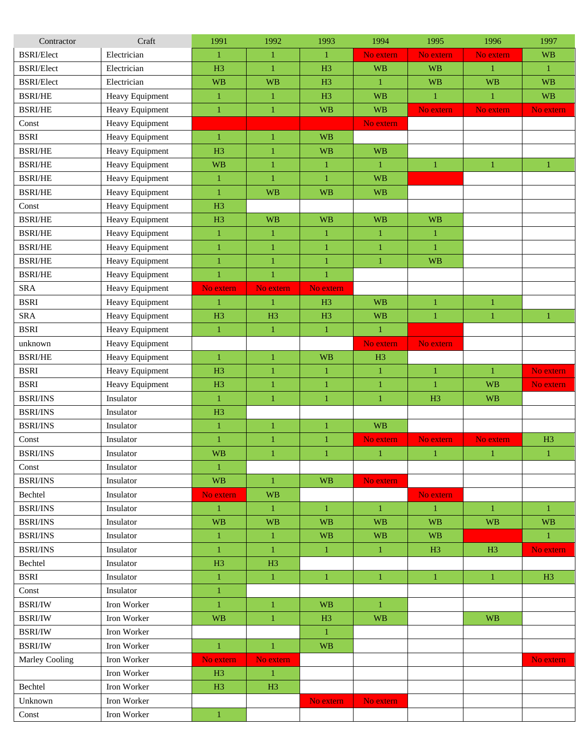| Contractor        | Craft           | 1991           | 1992           | 1993           | 1994           | 1995           | 1996           | 1997           |
|-------------------|-----------------|----------------|----------------|----------------|----------------|----------------|----------------|----------------|
| <b>BSRI/Elect</b> | Electrician     | $\mathbf{1}$   | $\mathbf{1}$   | $\mathbf{1}$   | No extern      | No extern      | No extern      | <b>WB</b>      |
| <b>BSRI/Elect</b> | Electrician     | H <sub>3</sub> | $\mathbf{1}$   | H <sub>3</sub> | <b>WB</b>      | <b>WB</b>      | 1              | $\mathbf{1}$   |
| <b>BSRI/Elect</b> | Electrician     | <b>WB</b>      | <b>WB</b>      | H <sub>3</sub> | $\mathbf{1}$   | <b>WB</b>      | <b>WB</b>      | <b>WB</b>      |
| <b>BSRI/HE</b>    | Heavy Equipment | $\mathbf{1}$   | $\mathbf{1}$   | H <sub>3</sub> | <b>WB</b>      | $\mathbf{1}$   | 1              | <b>WB</b>      |
| <b>BSRI/HE</b>    | Heavy Equipment | $\mathbf{1}$   | $\mathbf{1}$   | <b>WB</b>      | <b>WB</b>      | No extern      | No extern      | No extern      |
| Const             | Heavy Equipment |                |                |                | No extern      |                |                |                |
| <b>BSRI</b>       | Heavy Equipment | $\mathbf{1}$   | $\mathbf{1}$   | <b>WB</b>      |                |                |                |                |
| <b>BSRI/HE</b>    | Heavy Equipment | H <sub>3</sub> | $\mathbf{1}$   | <b>WB</b>      | <b>WB</b>      |                |                |                |
| <b>BSRI/HE</b>    | Heavy Equipment | <b>WB</b>      | $\mathbf{1}$   | $\mathbf{1}$   | $\mathbf{1}$   | $\mathbf{1}$   | $\mathbf{1}$   | $\mathbf{1}$   |
| <b>BSRI/HE</b>    | Heavy Equipment | $\mathbf{1}$   | $\mathbf{1}$   | 1              | <b>WB</b>      |                |                |                |
| <b>BSRI/HE</b>    | Heavy Equipment | $\mathbf{1}$   | <b>WB</b>      | <b>WB</b>      | <b>WB</b>      |                |                |                |
| Const             | Heavy Equipment | H <sub>3</sub> |                |                |                |                |                |                |
| <b>BSRI/HE</b>    | Heavy Equipment | H3             | <b>WB</b>      | <b>WB</b>      | <b>WB</b>      | <b>WB</b>      |                |                |
| <b>BSRI/HE</b>    | Heavy Equipment | $\mathbf{1}$   | $\mathbf{1}$   | $\mathbf{1}$   | $\mathbf{1}$   | $\mathbf{1}$   |                |                |
| <b>BSRI/HE</b>    | Heavy Equipment | $\mathbf{1}$   | $\mathbf{1}$   | 1              | $\mathbf{1}$   | $\mathbf{1}$   |                |                |
| <b>BSRI/HE</b>    | Heavy Equipment | $\mathbf{1}$   | $\mathbf{1}$   | 1              | 1              | <b>WB</b>      |                |                |
| <b>BSRI/HE</b>    | Heavy Equipment | $\mathbf{1}$   | $\mathbf{1}$   | $\mathbf{1}$   |                |                |                |                |
| SRA               | Heavy Equipment | No extern      | No extern      | No extern      |                |                |                |                |
| <b>BSRI</b>       | Heavy Equipment | $\mathbf{1}$   | $\mathbf{1}$   | H <sub>3</sub> | <b>WB</b>      | $\mathbf{1}$   | 1              |                |
| <b>SRA</b>        | Heavy Equipment | H <sub>3</sub> | H <sub>3</sub> | H <sub>3</sub> | <b>WB</b>      | $\mathbf{1}$   | $\mathbf{1}$   | $\mathbf{1}$   |
| <b>BSRI</b>       | Heavy Equipment | $\mathbf{1}$   | $\mathbf{1}$   | $\mathbf{1}$   | $\mathbf{1}$   |                |                |                |
| unknown           | Heavy Equipment |                |                |                | No extern      | No extern      |                |                |
| <b>BSRI/HE</b>    | Heavy Equipment | $\mathbf{1}$   | $\mathbf{1}$   | <b>WB</b>      | H <sub>3</sub> |                |                |                |
| <b>BSRI</b>       | Heavy Equipment | H3             | $\mathbf{1}$   | $\mathbf{1}$   | $\mathbf{1}$   | $\mathbf{1}$   | $\mathbf{1}$   | No extern      |
| <b>BSRI</b>       | Heavy Equipment | H3             | $\mathbf{1}$   | $\mathbf{1}$   | $\mathbf{1}$   | $\mathbf{1}$   | <b>WB</b>      | No extern      |
| <b>BSRI/INS</b>   | Insulator       | $\mathbf{1}$   | $\mathbf{1}$   | $\mathbf{1}$   | $\mathbf{1}$   | H <sub>3</sub> | <b>WB</b>      |                |
| <b>BSRI/INS</b>   | Insulator       | H <sub>3</sub> |                |                |                |                |                |                |
| <b>BSRI/INS</b>   | Insulator       | $\mathbf{1}$   | $\mathbf{1}$   | 1              | <b>WB</b>      |                |                |                |
| Const             | Insulator       | $\mathbf{1}$   | $\mathbf{1}$   | 1              | No extern      | No extern      | No extern      | H3             |
| <b>BSRI/INS</b>   | Insulator       | <b>WB</b>      | $\mathbf{1}$   | $\mathbf{1}$   | $\mathbf{1}$   | $\mathbf{1}$   | $\mathbf{1}$   | $\mathbf{1}$   |
| Const             | Insulator       | $\mathbf{1}$   |                |                |                |                |                |                |
| <b>BSRI/INS</b>   | Insulator       | <b>WB</b>      | $\mathbf{1}$   | <b>WB</b>      | No extern      |                |                |                |
| Bechtel           | Insulator       | No extern      | <b>WB</b>      |                |                | No extern      |                |                |
| <b>BSRI/INS</b>   | Insulator       | $\mathbf{1}$   | $\mathbf{1}$   | $\mathbf{1}$   | $\mathbf{1}$   | $\mathbf{1}$   | $\mathbf{1}$   | $\mathbf{1}$   |
| <b>BSRI/INS</b>   | Insulator       | <b>WB</b>      | WB             | <b>WB</b>      | <b>WB</b>      | <b>WB</b>      | <b>WB</b>      | <b>WB</b>      |
| <b>BSRI/INS</b>   | Insulator       | $\mathbf{1}$   | $\mathbf{1}$   | <b>WB</b>      | <b>WB</b>      | <b>WB</b>      |                | $\mathbf{1}$   |
| <b>BSRI/INS</b>   | Insulator       | $\mathbf{1}$   | $\mathbf{1}$   | $\mathbf{1}$   | $\mathbf{1}$   | H <sub>3</sub> | H <sub>3</sub> | No extern      |
| Bechtel           | Insulator       | H3             | H <sub>3</sub> |                |                |                |                |                |
| <b>BSRI</b>       | Insulator       | $\mathbf{1}$   | $\mathbf{1}$   | $\mathbf{1}$   | $\mathbf{1}$   | $\mathbf{1}$   | $\mathbf{1}$   | H <sub>3</sub> |
| Const             | Insulator       | $\mathbf{1}$   |                |                |                |                |                |                |
| <b>BSRI/IW</b>    | Iron Worker     | $\mathbf{1}$   | $\mathbf{1}$   | <b>WB</b>      | $\mathbf{1}$   |                |                |                |
| <b>BSRI/IW</b>    | Iron Worker     | <b>WB</b>      | $\mathbf{1}$   | H <sub>3</sub> | <b>WB</b>      |                | <b>WB</b>      |                |
| <b>BSRI/IW</b>    | Iron Worker     |                |                | $\mathbf{1}$   |                |                |                |                |
| <b>BSRI/IW</b>    | Iron Worker     | $\mathbf{1}$   | $\mathbf{1}$   | <b>WB</b>      |                |                |                |                |
| Marley Cooling    | Iron Worker     | No extern      | No extern      |                |                |                |                | No extern      |
|                   | Iron Worker     | H3             | $\mathbf{1}$   |                |                |                |                |                |
| Bechtel           | Iron Worker     | H <sub>3</sub> | H <sub>3</sub> |                |                |                |                |                |
| Unknown           | Iron Worker     |                |                | No extern      | No extern      |                |                |                |
| Const             | Iron Worker     | $\mathbf{1}$   |                |                |                |                |                |                |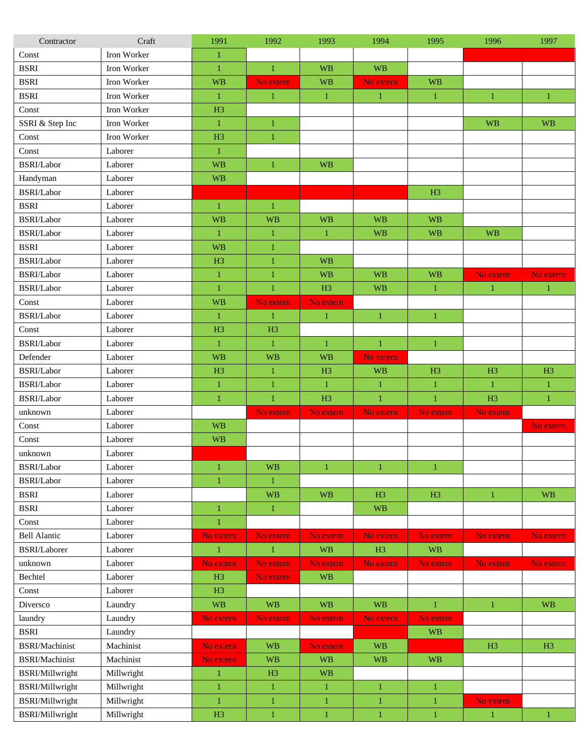| Contractor             | Craft       | 1991           | 1992           | 1993           | 1994           | 1995           | 1996           | 1997           |
|------------------------|-------------|----------------|----------------|----------------|----------------|----------------|----------------|----------------|
| Const                  | Iron Worker | 1              |                |                |                |                |                |                |
| <b>BSRI</b>            | Iron Worker | $\mathbf{1}$   | $\mathbf{1}$   | <b>WB</b>      | <b>WB</b>      |                |                |                |
| <b>BSRI</b>            | Iron Worker | <b>WB</b>      | No extern      | <b>WB</b>      | No extern      | <b>WB</b>      |                |                |
| <b>BSRI</b>            | Iron Worker | $\mathbf{1}$   | $\mathbf{1}$   | $\mathbf{1}$   | $\mathbf{1}$   | $\mathbf{1}$   | 1              | $\mathbf{1}$   |
| Const                  | Iron Worker | H <sub>3</sub> |                |                |                |                |                |                |
| SSRI & Step Inc        | Iron Worker | $\mathbf{1}$   | $\mathbf{1}$   |                |                |                | <b>WB</b>      | <b>WB</b>      |
| Const                  | Iron Worker | H <sub>3</sub> | $\mathbf{1}$   |                |                |                |                |                |
| Const                  | Laborer     | $\mathbf{1}$   |                |                |                |                |                |                |
| BSRI/Labor             | Laborer     | <b>WB</b>      | $\mathbf{1}$   | <b>WB</b>      |                |                |                |                |
| Handyman               | Laborer     | <b>WB</b>      |                |                |                |                |                |                |
| BSRI/Labor             | Laborer     |                |                |                |                | H <sub>3</sub> |                |                |
| <b>BSRI</b>            | Laborer     | $\mathbf{1}$   | $\mathbf{1}$   |                |                |                |                |                |
| BSRI/Labor             | Laborer     | <b>WB</b>      | <b>WB</b>      | <b>WB</b>      | <b>WB</b>      | <b>WB</b>      |                |                |
| BSRI/Labor             | Laborer     | $\mathbf{1}$   | $\mathbf{1}$   | $\mathbf{1}$   | <b>WB</b>      | <b>WB</b>      | <b>WB</b>      |                |
| <b>BSRI</b>            | Laborer     | <b>WB</b>      | $\mathbf{1}$   |                |                |                |                |                |
| BSRI/Labor             | Laborer     | H <sub>3</sub> | $\mathbf{1}$   | <b>WB</b>      |                |                |                |                |
| BSRI/Labor             | Laborer     | $\mathbf{1}$   | $\mathbf{1}$   | <b>WB</b>      | <b>WB</b>      | <b>WB</b>      | No extern      | No extern      |
| BSRI/Labor             | Laborer     | $\mathbf{1}$   | $\mathbf{1}$   | H <sub>3</sub> | <b>WB</b>      | $\mathbf{1}$   | $\mathbf{1}$   | $\mathbf{1}$   |
| Const                  | Laborer     | <b>WB</b>      | No extern      | No extern      |                |                |                |                |
| BSRI/Labor             | Laborer     | $\mathbf{1}$   | $\mathbf{1}$   | $\mathbf{1}$   | 1              | $\mathbf{1}$   |                |                |
| Const                  | Laborer     | H <sub>3</sub> | H <sub>3</sub> |                |                |                |                |                |
| BSRI/Labor             | Laborer     | $\mathbf{1}$   | $\mathbf{1}$   | $\mathbf{1}$   | $\mathbf{1}$   | $\mathbf{1}$   |                |                |
| Defender               | Laborer     | <b>WB</b>      | <b>WB</b>      | <b>WB</b>      | No extern      |                |                |                |
| BSRI/Labor             | Laborer     | H <sub>3</sub> | $\mathbf{1}$   | H <sub>3</sub> | <b>WB</b>      | H <sub>3</sub> | H <sub>3</sub> | H <sub>3</sub> |
| BSRI/Labor             | Laborer     | $\mathbf{1}$   | $\mathbf{1}$   | 1              | $\mathbf{1}$   | $\mathbf{1}$   | $\mathbf{1}$   | $\mathbf{1}$   |
| BSRI/Labor             | Laborer     | $\mathbf{1}$   | $\mathbf{1}$   | H <sub>3</sub> | $\mathbf{1}$   | $\mathbf{1}$   | H <sub>3</sub> | $\mathbf{1}$   |
| unknown                | Laborer     |                | No extern      | No extern      | No extern      | No extern      | No extern      |                |
| Const                  | Laborer     | <b>WB</b>      |                |                |                |                |                | No extern      |
| Const                  | Laborer     | <b>WB</b>      |                |                |                |                |                |                |
| unknown                | Laborer     |                |                |                |                |                |                |                |
| BSRI/Labor             | Laborer     | $\mathbf{1}$   | <b>WB</b>      | $\mathbf{1}$   | 1              | $\mathbf{1}$   |                |                |
| BSRI/Labor             | Laborer     | 1              | 1              |                |                |                |                |                |
| <b>BSRI</b>            | Laborer     |                | <b>WB</b>      | <b>WB</b>      | H <sub>3</sub> | H <sub>3</sub> | $\mathbf{1}$   | <b>WB</b>      |
| <b>BSRI</b>            | Laborer     | $\mathbf{1}$   | $\mathbf{1}$   |                | <b>WB</b>      |                |                |                |
| Const                  | Laborer     | $\mathbf{1}$   |                |                |                |                |                |                |
| <b>Bell Alantic</b>    | Laborer     | No extern      | No extern      | No extern      | No extern      | No extern      | No extern      | No extern      |
| BSRI/Laborer           | Laborer     | $\mathbf{1}$   | $\mathbf{1}$   | <b>WB</b>      | H3             | <b>WB</b>      |                |                |
| unknown                | Laborer     | No extern      | No extern      | No extern      | No extern      | No extern      | No extern      | No extern      |
| Bechtel                | Laborer     | H3             | No extern      | <b>WB</b>      |                |                |                |                |
| Const                  | Laborer     | H <sub>3</sub> |                |                |                |                |                |                |
| Diversco               | Laundry     | <b>WB</b>      | <b>WB</b>      | <b>WB</b>      | <b>WB</b>      | $\mathbf{1}$   | $\mathbf{1}$   | <b>WB</b>      |
| laundry                | Laundry     | No extern      | No extern      | No extern      | No extern      | No extern      |                |                |
| <b>BSRI</b>            | Laundry     |                |                |                |                | <b>WB</b>      |                |                |
| BSRI/Machinist         | Machinist   | No extern      | <b>WB</b>      | No extern      | <b>WB</b>      |                | H3             | H3             |
| BSRI/Machinist         | Machinist   | No extern      | <b>WB</b>      | <b>WB</b>      | <b>WB</b>      | <b>WB</b>      |                |                |
| <b>BSRI/Millwright</b> | Millwright  | $\mathbf{1}$   | H <sub>3</sub> | <b>WB</b>      |                |                |                |                |
| <b>BSRI/Millwright</b> | Millwright  | $\mathbf{1}$   | $\mathbf{1}$   | $\mathbf{1}$   | $\mathbf{1}$   | $\mathbf{1}$   |                |                |
| <b>BSRI/Millwright</b> | Millwright  | $\mathbf{1}$   | $\mathbf{1}$   | $\,1\,$        | $\mathbf{1}$   | $\,1\,$        | No extern      |                |
| <b>BSRI/Millwright</b> | Millwright  | H3             | $\mathbf{1}$   | $\mathbf{1}$   | $\mathbf{1}$   | $\mathbf{1}$   | $\mathbf{1}$   | $\mathbf{1}$   |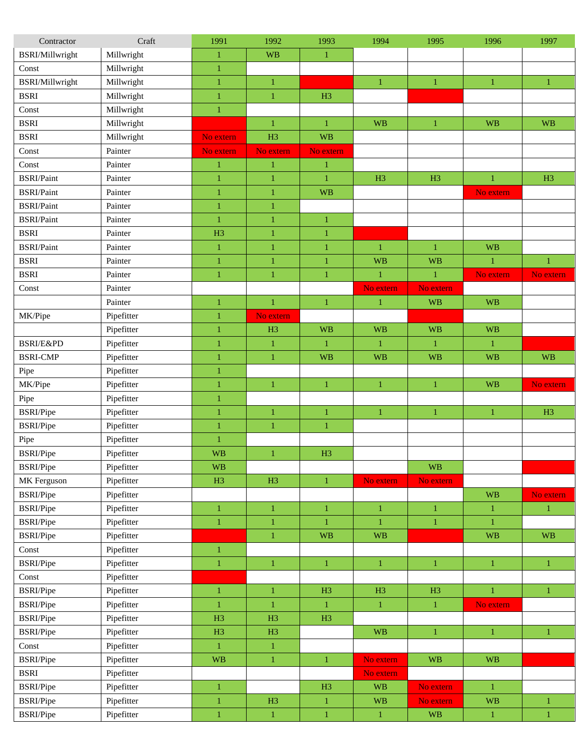| Contractor                | Craft      | 1991           | 1992           | 1993             | 1994           | 1995           | 1996         | 1997         |
|---------------------------|------------|----------------|----------------|------------------|----------------|----------------|--------------|--------------|
| <b>BSRI/Millwright</b>    | Millwright | $\mathbf{1}$   | <b>WB</b>      | $\mathbf{1}$     |                |                |              |              |
| $\mathop{\mathsf{Const}}$ | Millwright | $\mathbf{1}$   |                |                  |                |                |              |              |
| <b>BSRI/Millwright</b>    | Millwright | 1              | $\mathbf{1}$   |                  | 1              | $\mathbf{1}$   | $\mathbf{1}$ | $\mathbf{1}$ |
| <b>BSRI</b>               | Millwright | 1              | $\mathbf{1}$   | H <sub>3</sub>   |                |                |              |              |
| Const                     | Millwright | 1              |                |                  |                |                |              |              |
| <b>BSRI</b>               | Millwright |                | $\mathbf{1}$   | $\mathbf{1}$     | <b>WB</b>      | $\mathbf{1}$   | <b>WB</b>    | <b>WB</b>    |
| <b>BSRI</b>               | Millwright | No extern      | H <sub>3</sub> | <b>WB</b>        |                |                |              |              |
| Const                     | Painter    | No extern      | No extern      | No extern        |                |                |              |              |
| Const                     | Painter    | $\mathbf{1}$   | $\mathbf{1}$   | $\mathbf{1}$     |                |                |              |              |
| <b>BSRI/Paint</b>         | Painter    | $\mathbf{1}$   | $\mathbf{1}$   | $\mathbf{1}$     | H <sub>3</sub> | H <sub>3</sub> | $\mathbf{1}$ | H3           |
| <b>BSRI/Paint</b>         | Painter    | 1              | $\mathbf{1}$   | <b>WB</b>        |                |                | No extern    |              |
| <b>BSRI/Paint</b>         | Painter    | $\mathbf{1}$   | $\,1\,$        |                  |                |                |              |              |
| <b>BSRI/Paint</b>         | Painter    | $\mathbf{1}$   | $\mathbf{1}$   | $\mathbf{1}$     |                |                |              |              |
| <b>BSRI</b>               | Painter    | H <sub>3</sub> | $\mathbf{1}$   | $\mathbf{1}$     |                |                |              |              |
| <b>BSRI/Paint</b>         | Painter    | $\mathbf{1}$   | $\mathbf{1}$   | $\mathbf{1}$     | $\mathbf{1}$   | $\mathbf{1}$   | <b>WB</b>    |              |
| <b>BSRI</b>               | Painter    | $\mathbf{1}$   | $\mathbf{1}$   | $\mathbf{1}$     | <b>WB</b>      | <b>WB</b>      | $\mathbf{1}$ | $\mathbf{1}$ |
| <b>BSRI</b>               | Painter    | $\mathbf{1}$   | $\mathbf{1}$   | $\mathbf{1}$     | $\mathbf{1}$   | $\mathbf{1}$   | No extern    | No extern    |
| Const                     | Painter    |                |                |                  | No extern      | No extern      |              |              |
|                           | Painter    | 1              | $\mathbf{1}$   | $\mathbf{1}$     | 1              | <b>WB</b>      | <b>WB</b>    |              |
| MK/Pipe                   | Pipefitter | $\mathbf{1}$   | No extern      |                  |                |                |              |              |
|                           | Pipefitter | $\mathbf{1}$   | H3             | <b>WB</b>        | <b>WB</b>      | <b>WB</b>      | <b>WB</b>    |              |
| BSRI/E&PD                 | Pipefitter | $\mathbf{1}$   | $\mathbf{1}$   | $\mathbf{1}$     | $\mathbf{1}$   | $\mathbf{1}$   | $\mathbf{1}$ |              |
| <b>BSRI-CMP</b>           |            |                |                |                  |                |                |              |              |
|                           | Pipefitter | 1              | $\mathbf{1}$   | <b>WB</b>        | <b>WB</b>      | <b>WB</b>      | <b>WB</b>    | <b>WB</b>    |
| Pipe                      | Pipefitter | 1              |                |                  |                |                |              |              |
| MK/Pipe                   | Pipefitter | 1              | $\mathbf{1}$   | $\mathbf{1}$     | $\mathbf{1}$   | $\mathbf{1}$   | <b>WB</b>    | No extern    |
| Pipe                      | Pipefitter | $\mathbf{1}$   |                |                  |                |                |              |              |
| <b>BSRI/Pipe</b>          | Pipefitter | $\mathbf{1}$   | $\mathbf{1}$   | $\mathbf{1}$     | $\mathbf{1}$   | $\mathbf{1}$   | $\mathbf{1}$ | H3           |
| <b>BSRI/Pipe</b>          | Pipefitter | $\mathbf{1}$   | $\mathbf{1}$   | $\mathbf{1}$     |                |                |              |              |
| Pipe                      | Pipefitter | $\mathbf{1}$   |                |                  |                |                |              |              |
| <b>BSRI/Pipe</b>          | Pipefitter | <b>WB</b>      | $\mathbf{1}$   | H <sub>3</sub>   |                |                |              |              |
| <b>BSRI/Pipe</b>          | Pipefitter | <b>WB</b>      |                |                  |                | <b>WB</b>      |              |              |
| MK Ferguson               | Pipefitter | H3             | H3             | $\mathbf{1}$     | No extern      | No extern      |              |              |
| <b>BSRI/Pipe</b>          | Pipefitter |                |                |                  |                |                | <b>WB</b>    | No extern    |
| <b>BSRI/Pipe</b>          | Pipefitter | $\mathbf{1}$   | $\mathbf{1}$   | $\mathbf{1}$     | $\mathbf{1}$   | $\mathbf{1}$   | $\mathbf{1}$ | $\mathbf{1}$ |
| <b>BSRI/Pipe</b>          | Pipefitter | $\,1$          | $\,1\,$        | $\mathbf{1}$     | 1              | $\mathbf{1}$   | 1            |              |
| <b>BSRI/Pipe</b>          | Pipefitter |                | $\mathbf{1}$   | <b>WB</b>        | <b>WB</b>      |                | <b>WB</b>    | <b>WB</b>    |
| Const                     | Pipefitter | $\mathbf{1}$   |                |                  |                |                |              |              |
| <b>BSRI/Pipe</b>          | Pipefitter | $\mathbf{1}$   | $\mathbf{1}$   | $\mathbf{1}$     | $\mathbf{1}$   | $\mathbf{1}$   | $\mathbf{1}$ | $\mathbf{1}$ |
| Const                     | Pipefitter |                |                |                  |                |                |              |              |
| <b>BSRI/Pipe</b>          | Pipefitter | $\mathbf{1}$   | $\,1\,$        | H3               | H3             | H3             | $\mathbf{1}$ | $\mathbf{1}$ |
| <b>BSRI/Pipe</b>          | Pipefitter | $\mathbf{1}$   | $\mathbf{1}$   | $\mathbf{1}$     | $\mathbf{1}$   | $\,1\,$        | No extern    |              |
| <b>BSRI/Pipe</b>          | Pipefitter | H3             | H3             | H3               |                |                |              |              |
| <b>BSRI/Pipe</b>          | Pipefitter | H3             | H3             |                  | <b>WB</b>      | $\mathbf{1}$   | $\mathbf{1}$ | $\mathbf{1}$ |
| Const                     | Pipefitter | $\mathbf{1}$   | $\,1\,$        |                  |                |                |              |              |
| <b>BSRI/Pipe</b>          | Pipefitter | <b>WB</b>      | $\,1\,$        | $\boldsymbol{1}$ | No extern      | <b>WB</b>      | <b>WB</b>    |              |
| <b>BSRI</b>               | Pipefitter |                |                |                  | No extern      |                |              |              |
| <b>BSRI/Pipe</b>          | Pipefitter | $\mathbf{1}$   |                | H3               | <b>WB</b>      | No extern      | $\mathbf{1}$ |              |
| <b>BSRI/Pipe</b>          | Pipefitter | $\mathbf{1}$   | H3             | $\mathbf{1}$     | <b>WB</b>      | No extern      | <b>WB</b>    | $\mathbf{1}$ |
| <b>BSRI/Pipe</b>          | Pipefitter | $\mathbf{1}$   | $\,1\,$        | $\,1\,$          | $\mathbf{1}$   | <b>WB</b>      | $\,1\,$      | $\,1\,$      |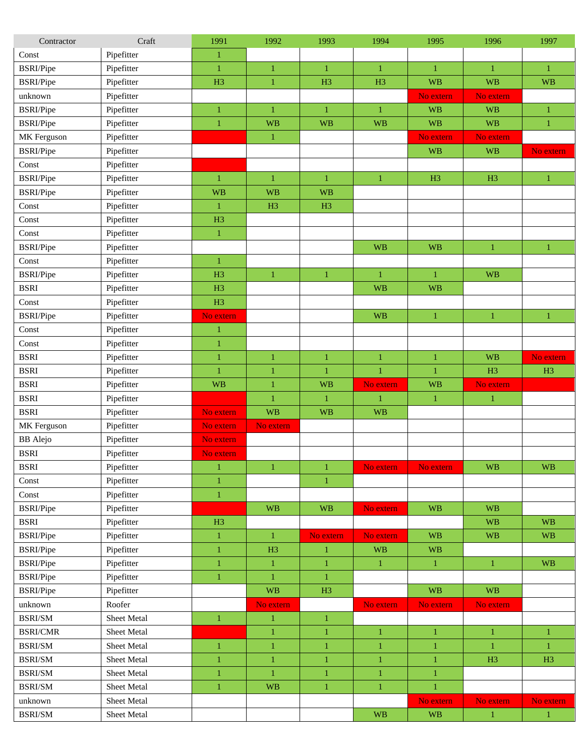| Contractor                                  | Craft       | 1991           | 1992           | 1993           | 1994           | 1995           | 1996           | 1997         |
|---------------------------------------------|-------------|----------------|----------------|----------------|----------------|----------------|----------------|--------------|
| Const                                       | Pipefitter  | 1              |                |                |                |                |                |              |
| <b>BSRI/Pipe</b>                            | Pipefitter  | 1              | $\mathbf{1}$   | $\mathbf{1}$   | $\mathbf{1}$   | $\mathbf{1}$   | $\mathbf{1}$   | $\mathbf{1}$ |
| <b>BSRI/Pipe</b>                            | Pipefitter  | H <sub>3</sub> | $\mathbf{1}$   | H <sub>3</sub> | H <sub>3</sub> | <b>WB</b>      | <b>WB</b>      | <b>WB</b>    |
| unknown                                     | Pipefitter  |                |                |                |                | No extern      | No extern      |              |
| <b>BSRI/Pipe</b>                            | Pipefitter  | 1              | $\mathbf{1}$   | $\mathbf{1}$   | $\mathbf{1}$   | <b>WB</b>      | <b>WB</b>      | $\mathbf{1}$ |
| <b>BSRI/Pipe</b>                            | Pipefitter  | $\mathbf{1}$   | <b>WB</b>      | <b>WB</b>      | <b>WB</b>      | <b>WB</b>      | <b>WB</b>      | $\mathbf{1}$ |
| MK Ferguson                                 | Pipefitter  |                | $\mathbf{1}$   |                |                | No extern      | No extern      |              |
| <b>BSRI/Pipe</b>                            | Pipefitter  |                |                |                |                | <b>WB</b>      | <b>WB</b>      | No extern    |
| Const                                       | Pipefitter  |                |                |                |                |                |                |              |
| <b>BSRI/Pipe</b>                            | Pipefitter  | 1              | $\mathbf{1}$   | $\mathbf{1}$   | $\mathbf{1}$   | H <sub>3</sub> | H <sub>3</sub> | 1            |
| <b>BSRI/Pipe</b>                            | Pipefitter  | <b>WB</b>      | <b>WB</b>      | <b>WB</b>      |                |                |                |              |
| Const                                       | Pipefitter  | $\mathbf{1}$   | H <sub>3</sub> | H <sub>3</sub> |                |                |                |              |
| Const                                       | Pipefitter  | H <sub>3</sub> |                |                |                |                |                |              |
| Const                                       | Pipefitter  | 1              |                |                |                |                |                |              |
| <b>BSRI/Pipe</b>                            | Pipefitter  |                |                |                | <b>WB</b>      | <b>WB</b>      | $\mathbf{1}$   | $\mathbf{1}$ |
| Const                                       | Pipefitter  | 1              |                |                |                |                |                |              |
| <b>BSRI/Pipe</b>                            | Pipefitter  | H <sub>3</sub> | $\mathbf{1}$   | $\mathbf{1}$   | $\mathbf{1}$   | $\mathbf{1}$   | <b>WB</b>      |              |
| <b>BSRI</b>                                 | Pipefitter  | H <sub>3</sub> |                |                | <b>WB</b>      | <b>WB</b>      |                |              |
| Const                                       | Pipefitter  | H <sub>3</sub> |                |                |                |                |                |              |
| <b>BSRI/Pipe</b>                            | Pipefitter  | No extern      |                |                | <b>WB</b>      | $\mathbf{1}$   | $\mathbf{1}$   | 1            |
| Const                                       | Pipefitter  | 1              |                |                |                |                |                |              |
| Const                                       | Pipefitter  | 1              |                |                |                |                |                |              |
| <b>BSRI</b>                                 | Pipefitter  | $\mathbf{1}$   | $\mathbf{1}$   | $\mathbf{1}$   | $\mathbf{1}$   | $\mathbf{1}$   | <b>WB</b>      | No extern    |
| <b>BSRI</b>                                 | Pipefitter  | $\mathbf{1}$   | $\mathbf{1}$   | $\mathbf{1}$   | $\mathbf{1}$   | $\mathbf{1}$   | H <sub>3</sub> | H3           |
| <b>BSRI</b>                                 | Pipefitter  | <b>WB</b>      | $\mathbf{1}$   | <b>WB</b>      | No extern      | <b>WB</b>      | No extern      |              |
| <b>BSRI</b>                                 | Pipefitter  |                | $\mathbf{1}$   | $\mathbf{1}$   | $\mathbf{1}$   | $\mathbf{1}$   | $\mathbf{1}$   |              |
| <b>BSRI</b>                                 | Pipefitter  | No extern      | <b>WB</b>      | <b>WB</b>      | <b>WB</b>      |                |                |              |
| MK Ferguson                                 | Pipefitter  | No extern      | No extern      |                |                |                |                |              |
| <b>BB</b> Alejo                             | Pipefitter  | No extern      |                |                |                |                |                |              |
| <b>BSRI</b>                                 | Pipefitter  | No extern      |                |                |                |                |                |              |
| <b>BSRI</b>                                 | Pipefitter  | 1              | $\mathbf{1}$   | 1              | No extern      | No extern      | <b>WB</b>      | <b>WB</b>    |
| Const                                       | Pipefitter  | $\mathbf{1}$   |                | 1              |                |                |                |              |
| Const                                       | Pipefitter  | $\,1$          |                |                |                |                |                |              |
| <b>BSRI/Pipe</b>                            | Pipefitter  |                | <b>WB</b>      | <b>WB</b>      | No extern      | <b>WB</b>      | <b>WB</b>      |              |
| <b>BSRI</b>                                 | Pipefitter  | H3             |                |                |                |                | <b>WB</b>      | <b>WB</b>    |
| <b>BSRI/Pipe</b>                            | Pipefitter  | $\mathbf{1}$   | $\mathbf{1}$   | No extern      | No extern      | <b>WB</b>      | <b>WB</b>      | <b>WB</b>    |
| <b>BSRI/Pipe</b>                            | Pipefitter  | $\mathbf{1}$   | H <sub>3</sub> | $\mathbf{1}$   | <b>WB</b>      | <b>WB</b>      |                |              |
| <b>BSRI/Pipe</b>                            | Pipefitter  | $\mathbf{1}$   | $\mathbf{1}$   | $\mathbf{1}$   | $\mathbf{1}$   | $\mathbf{1}$   | $\mathbf{1}$   | <b>WB</b>    |
| <b>BSRI/Pipe</b>                            | Pipefitter  | $\mathbf{1}$   | $\mathbf{1}$   | $\mathbf{1}$   |                |                |                |              |
| <b>BSRI/Pipe</b>                            | Pipefitter  |                | <b>WB</b>      | H3             |                | <b>WB</b>      | <b>WB</b>      |              |
| unknown                                     | Roofer      |                | No extern      |                | No extern      | No extern      | No extern      |              |
| <b>BSRI/SM</b>                              | Sheet Metal | $\mathbf{1}$   | $\mathbf{1}$   | $\,1\,$        |                |                |                |              |
| <b>BSRI/CMR</b>                             | Sheet Metal |                | $\mathbf{1}$   | $\mathbf{1}$   | $\mathbf{1}$   | $\mathbf{1}$   | $\mathbf{1}$   | $\mathbf{1}$ |
| <b>BSRI/SM</b>                              | Sheet Metal | $\mathbf{1}$   | $\mathbf{1}$   | $\mathbf{1}$   | $\mathbf{1}$   | $\mathbf{1}$   | 1              | $\mathbf{1}$ |
| <b>BSRI/SM</b>                              | Sheet Metal | $\mathbf{1}$   | $\mathbf{1}$   | $\mathbf{1}$   | $\mathbf{1}$   | $\mathbf{1}$   | H3             | H3           |
| $\operatorname{BSRI}/\!\!\operatorname{SM}$ | Sheet Metal | $\mathbf{1}$   | $\mathbf{1}$   | $\mathbf{1}$   | $\mathbf{1}$   | $\mathbf{1}$   |                |              |
| <b>BSRI/SM</b>                              | Sheet Metal | $\mathbf{1}$   | <b>WB</b>      | $\mathbf{1}$   | $\mathbf{1}$   | $\,1\,$        |                |              |
| unknown                                     | Sheet Metal |                |                |                |                | No extern      | No extern      | No extern    |
| BSRI/SM                                     | Sheet Metal |                |                |                | <b>WB</b>      | <b>WB</b>      | $\mathbf{1}$   | $\mathbf{1}$ |